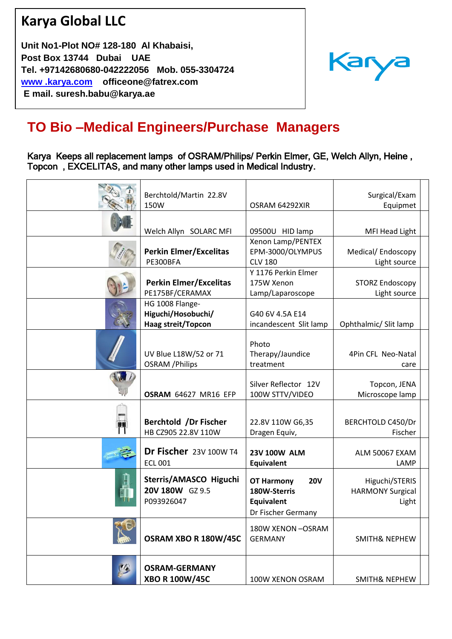## **Karya Global LLC**

 **Post Box 13744 Dubai UAE Unit No1-Plot NO# 128-180 Al Khabaisi, Tel. +97142680680-042222056 Mob. 055-3304724 [www .karya.com](mailto:www%20.karya.com) officeone@fatrex.com E mail. suresh.babu@karya.ae** 



## **TO Bio –Medical Engineers/Purchase Managers**

Karya Keeps all replacement lamps of OSRAM/Philips/ Perkin Elmer, GE, Welch Allyn, Heine , Topcon , EXCELITAS, and many other lamps used in Medical Industry.

| Berchtold/Martin 22.8V<br>150W                              | OSRAM 64292XIR                                                                             | Surgical/Exam<br>Equipmet                          |
|-------------------------------------------------------------|--------------------------------------------------------------------------------------------|----------------------------------------------------|
| Welch Allyn SOLARC MFI                                      | 09500U HID lamp                                                                            | MFI Head Light                                     |
| <b>Perkin Elmer/Excelitas</b><br>PE300BFA                   | Xenon Lamp/PENTEX<br>EPM-3000/OLYMPUS<br><b>CLV 180</b>                                    | Medical/Endoscopy<br>Light source                  |
| <b>Perkin Elmer/Excelitas</b><br>PE175BF/CERAMAX            | Y 1176 Perkin Elmer<br>175W Xenon<br>Lamp/Laparoscope                                      | <b>STORZ Endoscopy</b><br>Light source             |
| HG 1008 Flange-<br>Higuchi/Hosobuchi/<br>Haag streit/Topcon | G40 6V 4.5A E14<br>incandescent Slit lamp                                                  | Ophthalmic/ Slit lamp                              |
| UV Blue L18W/52 or 71<br><b>OSRAM</b> / Philips             | Photo<br>Therapy/Jaundice<br>treatment                                                     | 4Pin CFL Neo-Natal<br>care                         |
| OSRAM 64627 MR16 EFP                                        | Silver Reflector 12V<br>100W STTV/VIDEO                                                    | Topcon, JENA<br>Microscope lamp                    |
| Berchtold /Dr Fischer<br>HB CZ905 22.8V 110W                | 22.8V 110W G6,35<br>Dragen Equiv,                                                          | BERCHTOLD C450/Dr<br>Fischer                       |
| Dr Fischer 23V 100W T4<br><b>ECL 001</b>                    | <b>23V 100W ALM</b><br><b>Equivalent</b>                                                   | ALM 50067 EXAM<br>LAMP                             |
| Sterris/AMASCO Higuchi<br>20V 180W GZ 9.5<br>P093926047     | <b>OT Harmony</b><br><b>20V</b><br>180W-Sterris<br><b>Equivalent</b><br>Dr Fischer Germany | Higuchi/STERIS<br><b>HARMONY Surgical</b><br>Light |
| OSRAM XBO R 180W/45C                                        | 180W XENON-OSRAM<br><b>GERMANY</b>                                                         | <b>SMITH&amp; NEPHEW</b>                           |
| <b>OSRAM-GERMANY</b><br><b>XBO R 100W/45C</b>               | 100W XENON OSRAM                                                                           | <b>SMITH&amp; NEPHEW</b>                           |